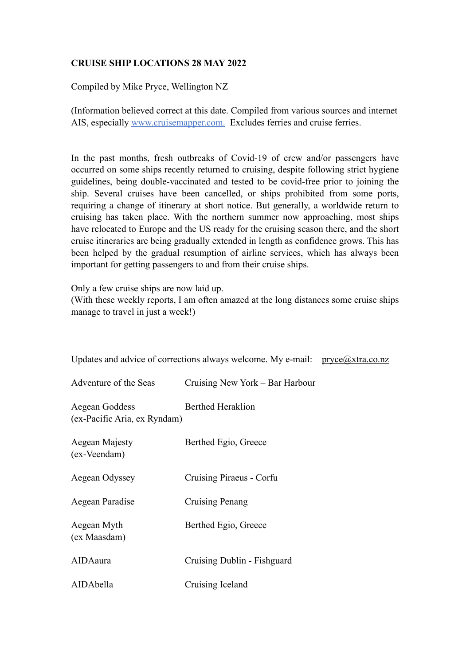## **CRUISE SHIP LOCATIONS 28 MAY 2022**

Compiled by Mike Pryce, Wellington NZ

(Information believed correct at this date. Compiled from various sources and internet AIS, especially www.cruisemapper.com. Excludes ferries and cruise ferries.

In the past months, fresh outbreaks of Covid-19 of crew and/or passengers have occurred on some ships recently returned to cruising, despite following strict hygiene guidelines, being double-vaccinated and tested to be covid-free prior to joining the ship. Several cruises have been cancelled, or ships prohibited from some ports, requiring a change of itinerary at short notice. But generally, a worldwide return to cruising has taken place. With the northern summer now approaching, most ships have relocated to Europe and the US ready for the cruising season there, and the short cruise itineraries are being gradually extended in length as confidence grows. This has been helped by the gradual resumption of airline services, which has always been important for getting passengers to and from their cruise ships.

Only a few cruise ships are now laid up.

(With these weekly reports, I am often amazed at the long distances some cruise ships manage to travel in just a week!)

| Updates and advice of corrections always welcome. My e-mail: $\text{pryce}(\partial x \text{tr}a \text{.} \text{co} \text{.} \text{nz})$ |                                 |  |
|------------------------------------------------------------------------------------------------------------------------------------------|---------------------------------|--|
| Adventure of the Seas                                                                                                                    | Cruising New York – Bar Harbour |  |
| Aegean Goddess<br>(ex-Pacific Aria, ex Ryndam)                                                                                           | <b>Berthed Heraklion</b>        |  |
| Aegean Majesty<br>(ex-Veendam)                                                                                                           | Berthed Egio, Greece            |  |
| Aegean Odyssey                                                                                                                           | Cruising Piraeus - Corfu        |  |
| Aegean Paradise                                                                                                                          | Cruising Penang                 |  |
| Aegean Myth<br>(ex Maasdam)                                                                                                              | Berthed Egio, Greece            |  |
| AIDAaura                                                                                                                                 | Cruising Dublin - Fishguard     |  |
| AIDAbella                                                                                                                                | Cruising Iceland                |  |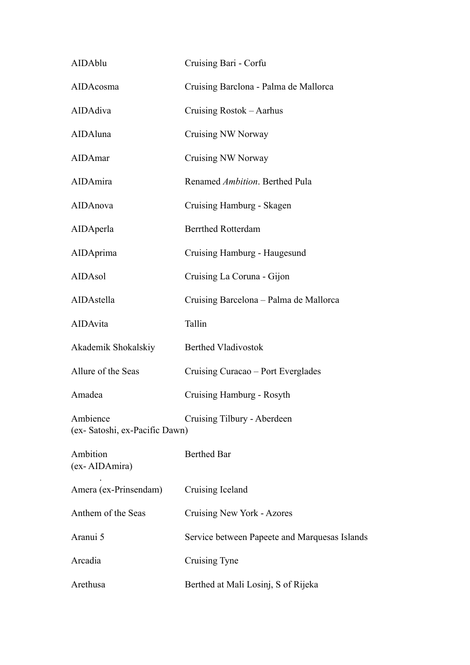| AIDAblu                                    | Cruising Bari - Corfu                         |
|--------------------------------------------|-----------------------------------------------|
| AIDAcosma                                  | Cruising Barclona - Palma de Mallorca         |
| AIDAdiva                                   | Cruising Rostok – Aarhus                      |
| AIDAluna                                   | Cruising NW Norway                            |
| AIDAmar                                    | Cruising NW Norway                            |
| AIDAmira                                   | Renamed Ambition. Berthed Pula                |
| AIDAnova                                   | Cruising Hamburg - Skagen                     |
| AIDAperla                                  | <b>Berrthed Rotterdam</b>                     |
| AIDAprima                                  | Cruising Hamburg - Haugesund                  |
| AIDAsol                                    | Cruising La Coruna - Gijon                    |
| AIDAstella                                 | Cruising Barcelona – Palma de Mallorca        |
| AIDAvita                                   | Tallin                                        |
| Akademik Shokalskiy                        | <b>Berthed Vladivostok</b>                    |
| Allure of the Seas                         | Cruising Curacao – Port Everglades            |
| Amadea                                     | Cruising Hamburg - Rosyth                     |
| Ambience<br>(ex- Satoshi, ex-Pacific Dawn) | Cruising Tilbury - Aberdeen                   |
| Ambition<br>(ex-AIDAmira)                  | <b>Berthed Bar</b>                            |
| Amera (ex-Prinsendam)                      | Cruising Iceland                              |
| Anthem of the Seas                         | Cruising New York - Azores                    |
| Aranui 5                                   | Service between Papeete and Marquesas Islands |
| Arcadia                                    | Cruising Tyne                                 |
| Arethusa                                   | Berthed at Mali Losinj, S of Rijeka           |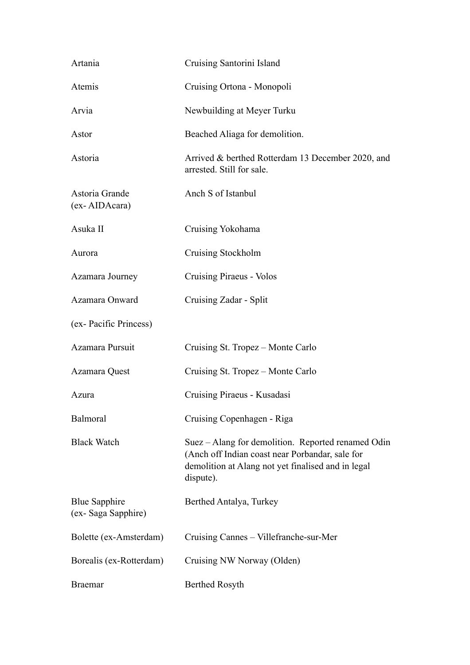| Artania                                    | Cruising Santorini Island                                                                                                                                                |
|--------------------------------------------|--------------------------------------------------------------------------------------------------------------------------------------------------------------------------|
| Atemis                                     | Cruising Ortona - Monopoli                                                                                                                                               |
| Arvia                                      | Newbuilding at Meyer Turku                                                                                                                                               |
| Astor                                      | Beached Aliaga for demolition.                                                                                                                                           |
| Astoria                                    | Arrived & berthed Rotterdam 13 December 2020, and<br>arrested. Still for sale.                                                                                           |
| Astoria Grande<br>(ex-AIDAcara)            | Anch S of Istanbul                                                                                                                                                       |
| Asuka II                                   | Cruising Yokohama                                                                                                                                                        |
| Aurora                                     | Cruising Stockholm                                                                                                                                                       |
| Azamara Journey                            | Cruising Piraeus - Volos                                                                                                                                                 |
| Azamara Onward                             | Cruising Zadar - Split                                                                                                                                                   |
| (ex-Pacific Princess)                      |                                                                                                                                                                          |
| Azamara Pursuit                            | Cruising St. Tropez - Monte Carlo                                                                                                                                        |
| Azamara Quest                              | Cruising St. Tropez – Monte Carlo                                                                                                                                        |
| Azura                                      | Cruising Piraeus - Kusadasi                                                                                                                                              |
| Balmoral                                   | Cruising Copenhagen - Riga                                                                                                                                               |
| <b>Black Watch</b>                         | Suez – Alang for demolition. Reported renamed Odin<br>(Anch off Indian coast near Porbandar, sale for<br>demolition at Alang not yet finalised and in legal<br>dispute). |
| <b>Blue Sapphire</b><br>(ex-Saga Sapphire) | Berthed Antalya, Turkey                                                                                                                                                  |
| Bolette (ex-Amsterdam)                     | Cruising Cannes – Villefranche-sur-Mer                                                                                                                                   |
| Borealis (ex-Rotterdam)                    | Cruising NW Norway (Olden)                                                                                                                                               |
| <b>Braemar</b>                             | <b>Berthed Rosyth</b>                                                                                                                                                    |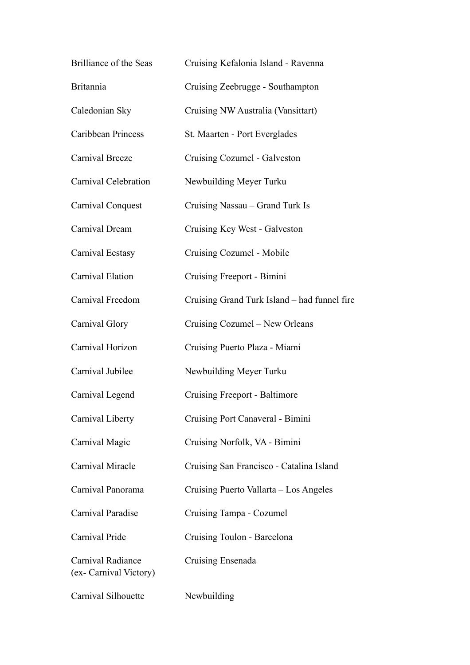| Brilliance of the Seas                      | Cruising Kefalonia Island - Ravenna          |
|---------------------------------------------|----------------------------------------------|
| <b>Britannia</b>                            | Cruising Zeebrugge - Southampton             |
| Caledonian Sky                              | Cruising NW Australia (Vansittart)           |
| <b>Caribbean Princess</b>                   | St. Maarten - Port Everglades                |
| Carnival Breeze                             | Cruising Cozumel - Galveston                 |
| Carnival Celebration                        | Newbuilding Meyer Turku                      |
| Carnival Conquest                           | Cruising Nassau – Grand Turk Is              |
| Carnival Dream                              | Cruising Key West - Galveston                |
| Carnival Ecstasy                            | Cruising Cozumel - Mobile                    |
| Carnival Elation                            | Cruising Freeport - Bimini                   |
| Carnival Freedom                            | Cruising Grand Turk Island – had funnel fire |
| Carnival Glory                              | Cruising Cozumel - New Orleans               |
| Carnival Horizon                            | Cruising Puerto Plaza - Miami                |
| Carnival Jubilee                            | Newbuilding Meyer Turku                      |
| Carnival Legend                             | Cruising Freeport - Baltimore                |
| Carnival Liberty                            | Cruising Port Canaveral - Bimini             |
| Carnival Magic                              | Cruising Norfolk, VA - Bimini                |
| Carnival Miracle                            | Cruising San Francisco - Catalina Island     |
| Carnival Panorama                           | Cruising Puerto Vallarta – Los Angeles       |
| Carnival Paradise                           | Cruising Tampa - Cozumel                     |
| Carnival Pride                              | Cruising Toulon - Barcelona                  |
| Carnival Radiance<br>(ex- Carnival Victory) | Cruising Ensenada                            |
| Carnival Silhouette                         | Newbuilding                                  |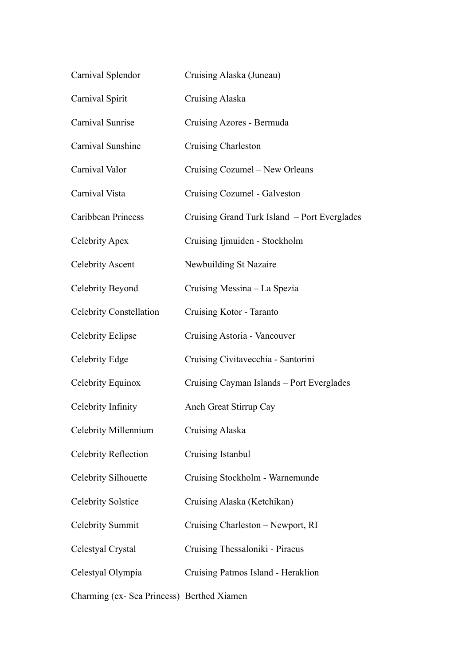| Carnival Splendor                         | Cruising Alaska (Juneau)                     |
|-------------------------------------------|----------------------------------------------|
| Carnival Spirit                           | <b>Cruising Alaska</b>                       |
| Carnival Sunrise                          | Cruising Azores - Bermuda                    |
| Carnival Sunshine                         | <b>Cruising Charleston</b>                   |
| Carnival Valor                            | Cruising Cozumel – New Orleans               |
| Carnival Vista                            | Cruising Cozumel - Galveston                 |
| Caribbean Princess                        | Cruising Grand Turk Island - Port Everglades |
| Celebrity Apex                            | Cruising Ijmuiden - Stockholm                |
| <b>Celebrity Ascent</b>                   | Newbuilding St Nazaire                       |
| Celebrity Beyond                          | Cruising Messina – La Spezia                 |
| <b>Celebrity Constellation</b>            | Cruising Kotor - Taranto                     |
| <b>Celebrity Eclipse</b>                  | Cruising Astoria - Vancouver                 |
| Celebrity Edge                            | Cruising Civitavecchia - Santorini           |
| Celebrity Equinox                         | Cruising Cayman Islands - Port Everglades    |
| Celebrity Infinity                        | Anch Great Stirrup Cay                       |
| Celebrity Millennium                      | Cruising Alaska                              |
| <b>Celebrity Reflection</b>               | Cruising Istanbul                            |
| Celebrity Silhouette                      | Cruising Stockholm - Warnemunde              |
| <b>Celebrity Solstice</b>                 | Cruising Alaska (Ketchikan)                  |
| Celebrity Summit                          | Cruising Charleston - Newport, RI            |
| Celestyal Crystal                         | Cruising Thessaloniki - Piraeus              |
| Celestyal Olympia                         | Cruising Patmos Island - Heraklion           |
| Charming (ex-Sea Princess) Berthed Xiamen |                                              |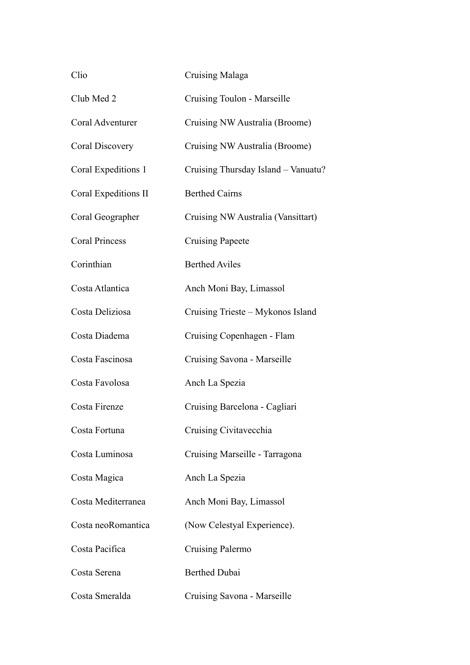| Clio                  | Cruising Malaga                     |
|-----------------------|-------------------------------------|
| Club Med 2            | Cruising Toulon - Marseille         |
| Coral Adventurer      | Cruising NW Australia (Broome)      |
| Coral Discovery       | Cruising NW Australia (Broome)      |
| Coral Expeditions 1   | Cruising Thursday Island - Vanuatu? |
| Coral Expeditions II  | <b>Berthed Cairns</b>               |
| Coral Geographer      | Cruising NW Australia (Vansittart)  |
| <b>Coral Princess</b> | <b>Cruising Papeete</b>             |
| Corinthian            | <b>Berthed Aviles</b>               |
| Costa Atlantica       | Anch Moni Bay, Limassol             |
| Costa Deliziosa       | Cruising Trieste – Mykonos Island   |
| Costa Diadema         | Cruising Copenhagen - Flam          |
| Costa Fascinosa       | Cruising Savona - Marseille         |
| Costa Favolosa        | Anch La Spezia                      |
| Costa Firenze         | Cruising Barcelona - Cagliari       |
| Costa Fortuna         | Cruising Civitavecchia              |
| Costa Luminosa        | Cruising Marseille - Tarragona      |
| Costa Magica          | Anch La Spezia                      |
| Costa Mediterranea    | Anch Moni Bay, Limassol             |
| Costa neoRomantica    | (Now Celestyal Experience).         |
| Costa Pacifica        | Cruising Palermo                    |
| Costa Serena          | <b>Berthed Dubai</b>                |
| Costa Smeralda        | Cruising Savona - Marseille         |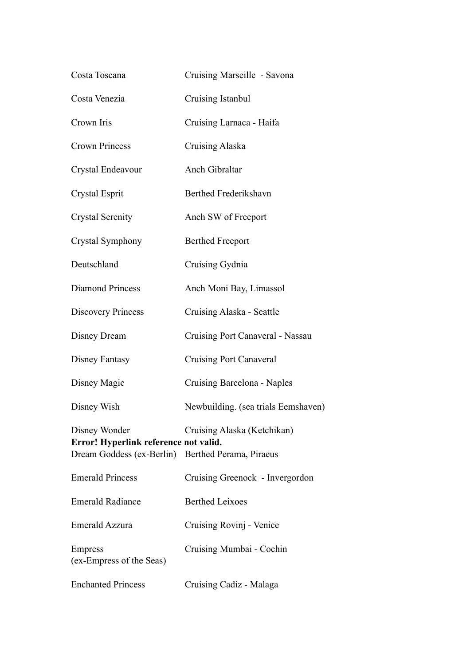| Costa Toscana                                                                                               | Cruising Marseille - Savona         |
|-------------------------------------------------------------------------------------------------------------|-------------------------------------|
| Costa Venezia                                                                                               | Cruising Istanbul                   |
| Crown Iris                                                                                                  | Cruising Larnaca - Haifa            |
| <b>Crown Princess</b>                                                                                       | Cruising Alaska                     |
| Crystal Endeavour                                                                                           | Anch Gibraltar                      |
| Crystal Esprit                                                                                              | Berthed Frederikshavn               |
| <b>Crystal Serenity</b>                                                                                     | Anch SW of Freeport                 |
| Crystal Symphony                                                                                            | <b>Berthed Freeport</b>             |
| Deutschland                                                                                                 | Cruising Gydnia                     |
| <b>Diamond Princess</b>                                                                                     | Anch Moni Bay, Limassol             |
| <b>Discovery Princess</b>                                                                                   | Cruising Alaska - Seattle           |
| Disney Dream                                                                                                | Cruising Port Canaveral - Nassau    |
| <b>Disney Fantasy</b>                                                                                       | <b>Cruising Port Canaveral</b>      |
| Disney Magic                                                                                                | Cruising Barcelona - Naples         |
| Disney Wish                                                                                                 | Newbuilding. (sea trials Eemshaven) |
| Disney Wonder<br>Error! Hyperlink reference not valid.<br>Dream Goddess (ex-Berlin) Berthed Perama, Piraeus | Cruising Alaska (Ketchikan)         |
| <b>Emerald Princess</b>                                                                                     | Cruising Greenock - Invergordon     |
| <b>Emerald Radiance</b>                                                                                     | <b>Berthed Leixoes</b>              |
| Emerald Azzura                                                                                              | Cruising Rovinj - Venice            |
| <b>Empress</b><br>(ex-Empress of the Seas)                                                                  | Cruising Mumbai - Cochin            |
| <b>Enchanted Princess</b>                                                                                   | Cruising Cadiz - Malaga             |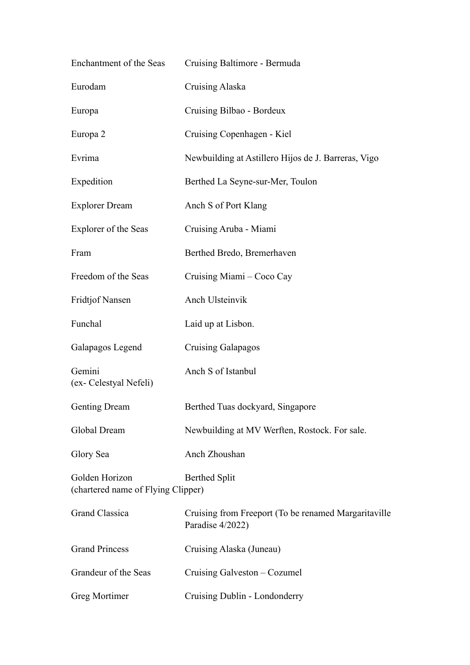| Enchantment of the Seas                              | Cruising Baltimore - Bermuda                                             |
|------------------------------------------------------|--------------------------------------------------------------------------|
| Eurodam                                              | <b>Cruising Alaska</b>                                                   |
| Europa                                               | Cruising Bilbao - Bordeux                                                |
| Europa 2                                             | Cruising Copenhagen - Kiel                                               |
| Evrima                                               | Newbuilding at Astillero Hijos de J. Barreras, Vigo                      |
| Expedition                                           | Berthed La Seyne-sur-Mer, Toulon                                         |
| <b>Explorer Dream</b>                                | Anch S of Port Klang                                                     |
| Explorer of the Seas                                 | Cruising Aruba - Miami                                                   |
| Fram                                                 | Berthed Bredo, Bremerhaven                                               |
| Freedom of the Seas                                  | Cruising Miami - Coco Cay                                                |
| <b>Fridtjof Nansen</b>                               | Anch Ulsteinvik                                                          |
| Funchal                                              | Laid up at Lisbon.                                                       |
| Galapagos Legend                                     | <b>Cruising Galapagos</b>                                                |
| Gemini<br>(ex- Celestyal Nefeli)                     | Anch S of Istanbul                                                       |
| <b>Genting Dream</b>                                 | Berthed Tuas dockyard, Singapore                                         |
| Global Dream                                         | Newbuilding at MV Werften, Rostock. For sale.                            |
| Glory Sea                                            | Anch Zhoushan                                                            |
| Golden Horizon<br>(chartered name of Flying Clipper) | <b>Berthed Split</b>                                                     |
| <b>Grand Classica</b>                                | Cruising from Freeport (To be renamed Margaritaville<br>Paradise 4/2022) |
| <b>Grand Princess</b>                                | Cruising Alaska (Juneau)                                                 |
| Grandeur of the Seas                                 | Cruising Galveston – Cozumel                                             |
| Greg Mortimer                                        | Cruising Dublin - Londonderry                                            |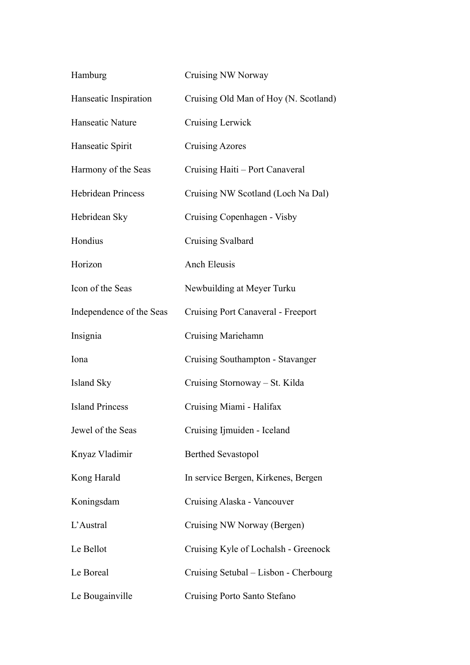| Hamburg                   | Cruising NW Norway                    |
|---------------------------|---------------------------------------|
| Hanseatic Inspiration     | Cruising Old Man of Hoy (N. Scotland) |
| Hanseatic Nature          | <b>Cruising Lerwick</b>               |
| Hanseatic Spirit          | <b>Cruising Azores</b>                |
| Harmony of the Seas       | Cruising Haiti - Port Canaveral       |
| <b>Hebridean Princess</b> | Cruising NW Scotland (Loch Na Dal)    |
| Hebridean Sky             | Cruising Copenhagen - Visby           |
| Hondius                   | <b>Cruising Svalbard</b>              |
| Horizon                   | <b>Anch Eleusis</b>                   |
| Icon of the Seas          | Newbuilding at Meyer Turku            |
| Independence of the Seas  | Cruising Port Canaveral - Freeport    |
| Insignia                  | <b>Cruising Mariehamn</b>             |
| Iona                      | Cruising Southampton - Stavanger      |
| Island Sky                | Cruising Stornoway – St. Kilda        |
| <b>Island Princess</b>    | Cruising Miami - Halifax              |
| Jewel of the Seas         | Cruising Ijmuiden - Iceland           |
| Knyaz Vladimir            | <b>Berthed Sevastopol</b>             |
| Kong Harald               | In service Bergen, Kirkenes, Bergen   |
| Koningsdam                | Cruising Alaska - Vancouver           |
| L'Austral                 | Cruising NW Norway (Bergen)           |
| Le Bellot                 | Cruising Kyle of Lochalsh - Greenock  |
| Le Boreal                 | Cruising Setubal - Lisbon - Cherbourg |
| Le Bougainville           | Cruising Porto Santo Stefano          |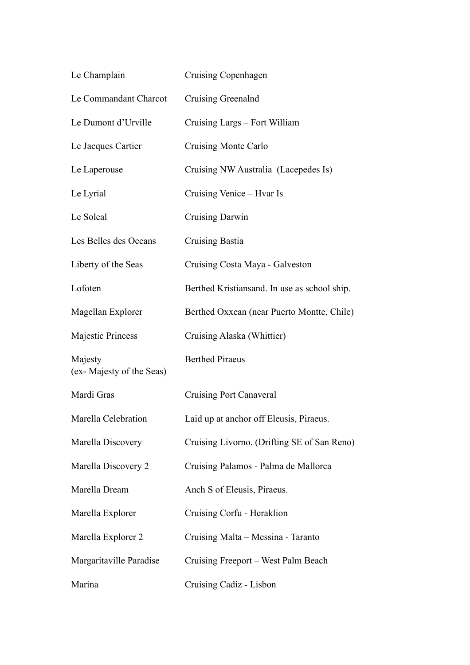| Le Champlain                        | Cruising Copenhagen                          |
|-------------------------------------|----------------------------------------------|
| Le Commandant Charcot               | Cruising Greenalnd                           |
| Le Dumont d'Urville                 | Cruising Largs - Fort William                |
| Le Jacques Cartier                  | <b>Cruising Monte Carlo</b>                  |
| Le Laperouse                        | Cruising NW Australia (Lacepedes Is)         |
| Le Lyrial                           | Cruising Venice - Hvar Is                    |
| Le Soleal                           | Cruising Darwin                              |
| Les Belles des Oceans               | <b>Cruising Bastia</b>                       |
| Liberty of the Seas                 | Cruising Costa Maya - Galveston              |
| Lofoten                             | Berthed Kristiansand. In use as school ship. |
| Magellan Explorer                   | Berthed Oxxean (near Puerto Montte, Chile)   |
| <b>Majestic Princess</b>            | Cruising Alaska (Whittier)                   |
| Majesty<br>(ex-Majesty of the Seas) | <b>Berthed Piraeus</b>                       |
| Mardi Gras                          | <b>Cruising Port Canaveral</b>               |
| Marella Celebration                 | Laid up at anchor off Eleusis, Piraeus.      |
| Marella Discovery                   | Cruising Livorno. (Drifting SE of San Reno)  |
| Marella Discovery 2                 | Cruising Palamos - Palma de Mallorca         |
| Marella Dream                       | Anch S of Eleusis, Piraeus.                  |
| Marella Explorer                    | Cruising Corfu - Heraklion                   |
| Marella Explorer 2                  | Cruising Malta - Messina - Taranto           |
| Margaritaville Paradise             | Cruising Freeport – West Palm Beach          |
| Marina                              | Cruising Cadiz - Lisbon                      |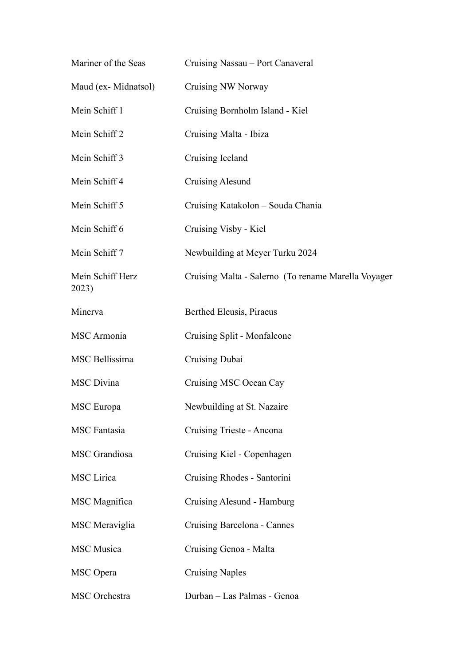| Mariner of the Seas       | Cruising Nassau – Port Canaveral                     |
|---------------------------|------------------------------------------------------|
| Maud (ex-Midnatsol)       | Cruising NW Norway                                   |
| Mein Schiff 1             | Cruising Bornholm Island - Kiel                      |
| Mein Schiff 2             | Cruising Malta - Ibiza                               |
| Mein Schiff 3             | Cruising Iceland                                     |
| Mein Schiff 4             | Cruising Alesund                                     |
| Mein Schiff 5             | Cruising Katakolon - Souda Chania                    |
| Mein Schiff 6             | Cruising Visby - Kiel                                |
| Mein Schiff 7             | Newbuilding at Meyer Turku 2024                      |
| Mein Schiff Herz<br>2023) | Cruising Malta - Salerno (To rename Marella Voyager) |
| Minerva                   | Berthed Eleusis, Piraeus                             |
| <b>MSC</b> Armonia        | Cruising Split - Monfalcone                          |
| MSC Bellissima            | Cruising Dubai                                       |
| <b>MSC</b> Divina         | Cruising MSC Ocean Cay                               |
| MSC Europa                | Newbuilding at St. Nazaire                           |
| <b>MSC</b> Fantasia       | Cruising Trieste - Ancona                            |
| MSC Grandiosa             | Cruising Kiel - Copenhagen                           |
| MSC Lirica                | Cruising Rhodes - Santorini                          |
| MSC Magnifica             | Cruising Alesund - Hamburg                           |
| MSC Meraviglia            | Cruising Barcelona - Cannes                          |
| <b>MSC</b> Musica         | Cruising Genoa - Malta                               |
| <b>MSC</b> Opera          | <b>Cruising Naples</b>                               |
| MSC Orchestra             | Durban - Las Palmas - Genoa                          |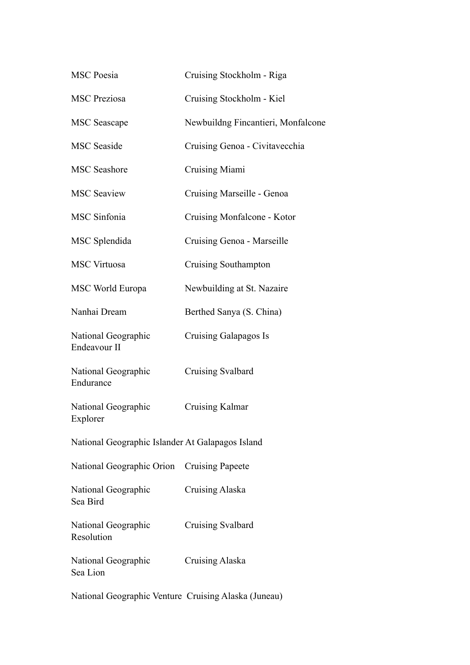| <b>MSC</b> Poesia                                | Cruising Stockholm - Riga          |
|--------------------------------------------------|------------------------------------|
| <b>MSC</b> Preziosa                              | Cruising Stockholm - Kiel          |
| <b>MSC</b> Seascape                              | Newbuildng Fincantieri, Monfalcone |
| <b>MSC</b> Seaside                               | Cruising Genoa - Civitavecchia     |
| <b>MSC</b> Seashore                              | Cruising Miami                     |
| <b>MSC Seaview</b>                               | Cruising Marseille - Genoa         |
| <b>MSC</b> Sinfonia                              | Cruising Monfalcone - Kotor        |
| MSC Splendida                                    | Cruising Genoa - Marseille         |
| <b>MSC Virtuosa</b>                              | Cruising Southampton               |
| MSC World Europa                                 | Newbuilding at St. Nazaire         |
| Nanhai Dream                                     | Berthed Sanya (S. China)           |
| National Geographic<br>Endeavour II              | Cruising Galapagos Is              |
| National Geographic<br>Endurance                 | Cruising Svalbard                  |
| National Geographic<br>Explorer                  | Cruising Kalmar                    |
| National Geographic Islander At Galapagos Island |                                    |
| National Geographic Orion                        | <b>Cruising Papeete</b>            |
| National Geographic<br>Sea Bird                  | Cruising Alaska                    |
| National Geographic<br>Resolution                | Cruising Svalbard                  |
| National Geographic<br>Sea Lion                  | Cruising Alaska                    |

National Geographic Venture Cruising Alaska (Juneau)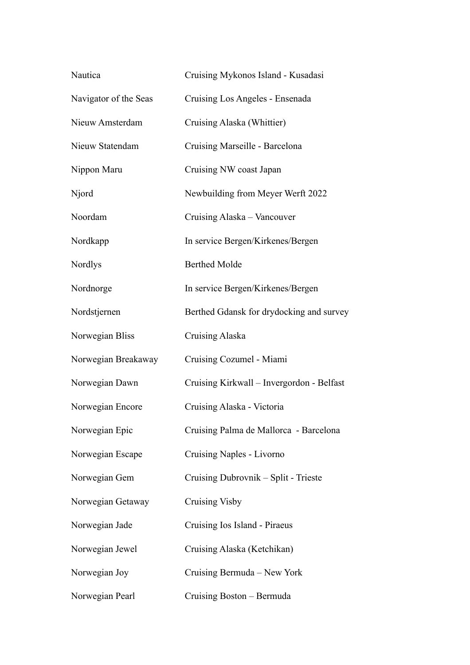| Nautica               | Cruising Mykonos Island - Kusadasi        |
|-----------------------|-------------------------------------------|
| Navigator of the Seas | Cruising Los Angeles - Ensenada           |
| Nieuw Amsterdam       | Cruising Alaska (Whittier)                |
| Nieuw Statendam       | Cruising Marseille - Barcelona            |
| Nippon Maru           | Cruising NW coast Japan                   |
| Njord                 | Newbuilding from Meyer Werft 2022         |
| Noordam               | Cruising Alaska – Vancouver               |
| Nordkapp              | In service Bergen/Kirkenes/Bergen         |
| Nordlys               | <b>Berthed Molde</b>                      |
| Nordnorge             | In service Bergen/Kirkenes/Bergen         |
| Nordstjernen          | Berthed Gdansk for drydocking and survey  |
| Norwegian Bliss       | Cruising Alaska                           |
| Norwegian Breakaway   | Cruising Cozumel - Miami                  |
| Norwegian Dawn        | Cruising Kirkwall - Invergordon - Belfast |
| Norwegian Encore      | Cruising Alaska - Victoria                |
| Norwegian Epic        | Cruising Palma de Mallorca - Barcelona    |
| Norwegian Escape      | Cruising Naples - Livorno                 |
| Norwegian Gem         | Cruising Dubrovnik – Split - Trieste      |
| Norwegian Getaway     | <b>Cruising Visby</b>                     |
| Norwegian Jade        | Cruising Ios Island - Piraeus             |
| Norwegian Jewel       | Cruising Alaska (Ketchikan)               |
| Norwegian Joy         | Cruising Bermuda – New York               |
| Norwegian Pearl       | Cruising Boston - Bermuda                 |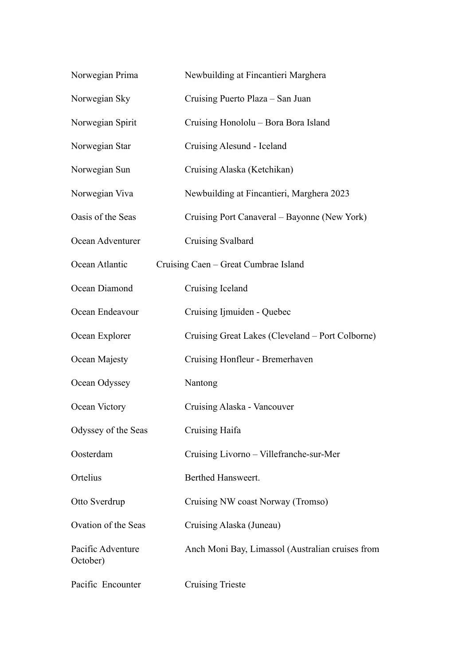| Norwegian Prima               | Newbuilding at Fincantieri Marghera              |
|-------------------------------|--------------------------------------------------|
| Norwegian Sky                 | Cruising Puerto Plaza - San Juan                 |
| Norwegian Spirit              | Cruising Honololu - Bora Bora Island             |
| Norwegian Star                | Cruising Alesund - Iceland                       |
| Norwegian Sun                 | Cruising Alaska (Ketchikan)                      |
| Norwegian Viva                | Newbuilding at Fincantieri, Marghera 2023        |
| Oasis of the Seas             | Cruising Port Canaveral – Bayonne (New York)     |
| Ocean Adventurer              | Cruising Svalbard                                |
| Ocean Atlantic                | Cruising Caen - Great Cumbrae Island             |
| Ocean Diamond                 | Cruising Iceland                                 |
| Ocean Endeavour               | Cruising Ijmuiden - Quebec                       |
| Ocean Explorer                | Cruising Great Lakes (Cleveland – Port Colborne) |
| Ocean Majesty                 | Cruising Honfleur - Bremerhaven                  |
| Ocean Odyssey                 | Nantong                                          |
| Ocean Victory                 | Cruising Alaska - Vancouver                      |
| Odyssey of the Seas           | Cruising Haifa                                   |
| Oosterdam                     | Cruising Livorno - Villefranche-sur-Mer          |
| Ortelius                      | Berthed Hansweert.                               |
| Otto Sverdrup                 | Cruising NW coast Norway (Tromso)                |
| Ovation of the Seas           | Cruising Alaska (Juneau)                         |
| Pacific Adventure<br>October) | Anch Moni Bay, Limassol (Australian cruises from |
| Pacific Encounter             | <b>Cruising Trieste</b>                          |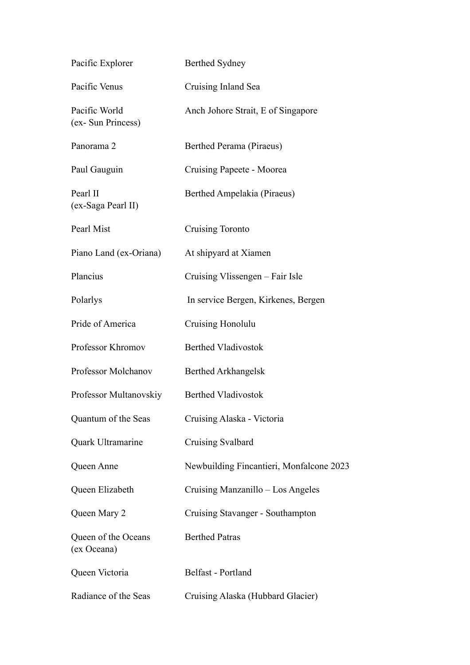| Pacific Explorer                    | <b>Berthed Sydney</b>                    |
|-------------------------------------|------------------------------------------|
| Pacific Venus                       | Cruising Inland Sea                      |
| Pacific World<br>(ex- Sun Princess) | Anch Johore Strait, E of Singapore       |
| Panorama <sub>2</sub>               | Berthed Perama (Piraeus)                 |
| Paul Gauguin                        | Cruising Papeete - Moorea                |
| Pearl II<br>(ex-Saga Pearl II)      | Berthed Ampelakia (Piraeus)              |
| Pearl Mist                          | Cruising Toronto                         |
| Piano Land (ex-Oriana)              | At shipyard at Xiamen                    |
| Plancius                            | Cruising Vlissengen – Fair Isle          |
| Polarlys                            | In service Bergen, Kirkenes, Bergen      |
| Pride of America                    | Cruising Honolulu                        |
| Professor Khromov                   | <b>Berthed Vladivostok</b>               |
| Professor Molchanov                 | <b>Berthed Arkhangelsk</b>               |
| Professor Multanovskiy              | <b>Berthed Vladivostok</b>               |
| Quantum of the Seas                 | Cruising Alaska - Victoria               |
| Quark Ultramarine                   | Cruising Svalbard                        |
| Queen Anne                          | Newbuilding Fincantieri, Monfalcone 2023 |
| Queen Elizabeth                     | Cruising Manzanillo - Los Angeles        |
| Queen Mary 2                        | Cruising Stavanger - Southampton         |
| Queen of the Oceans<br>(ex Oceana)  | <b>Berthed Patras</b>                    |
| Queen Victoria                      | Belfast - Portland                       |
| Radiance of the Seas                | Cruising Alaska (Hubbard Glacier)        |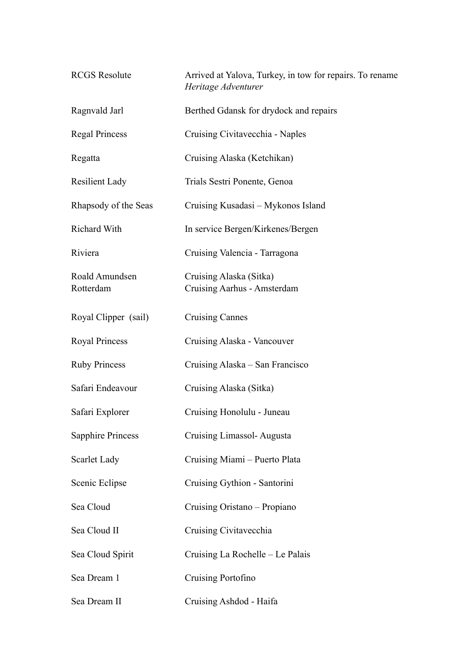| <b>RCGS</b> Resolute        | Arrived at Yalova, Turkey, in tow for repairs. To rename<br>Heritage Adventurer |
|-----------------------------|---------------------------------------------------------------------------------|
| Ragnvald Jarl               | Berthed Gdansk for drydock and repairs                                          |
| <b>Regal Princess</b>       | Cruising Civitavecchia - Naples                                                 |
| Regatta                     | Cruising Alaska (Ketchikan)                                                     |
| <b>Resilient Lady</b>       | Trials Sestri Ponente, Genoa                                                    |
| Rhapsody of the Seas        | Cruising Kusadasi – Mykonos Island                                              |
| Richard With                | In service Bergen/Kirkenes/Bergen                                               |
| Riviera                     | Cruising Valencia - Tarragona                                                   |
| Roald Amundsen<br>Rotterdam | Cruising Alaska (Sitka)<br>Cruising Aarhus - Amsterdam                          |
| Royal Clipper (sail)        | <b>Cruising Cannes</b>                                                          |
| Royal Princess              | Cruising Alaska - Vancouver                                                     |
| <b>Ruby Princess</b>        | Cruising Alaska - San Francisco                                                 |
| Safari Endeavour            | Cruising Alaska (Sitka)                                                         |
| Safari Explorer             | Cruising Honolulu - Juneau                                                      |
| <b>Sapphire Princess</b>    | Cruising Limassol-Augusta                                                       |
| Scarlet Lady                | Cruising Miami - Puerto Plata                                                   |
| Scenic Eclipse              | Cruising Gythion - Santorini                                                    |
| Sea Cloud                   | Cruising Oristano - Propiano                                                    |
| Sea Cloud II                | Cruising Civitavecchia                                                          |
| Sea Cloud Spirit            | Cruising La Rochelle - Le Palais                                                |
| Sea Dream 1                 | Cruising Portofino                                                              |
| Sea Dream II                | Cruising Ashdod - Haifa                                                         |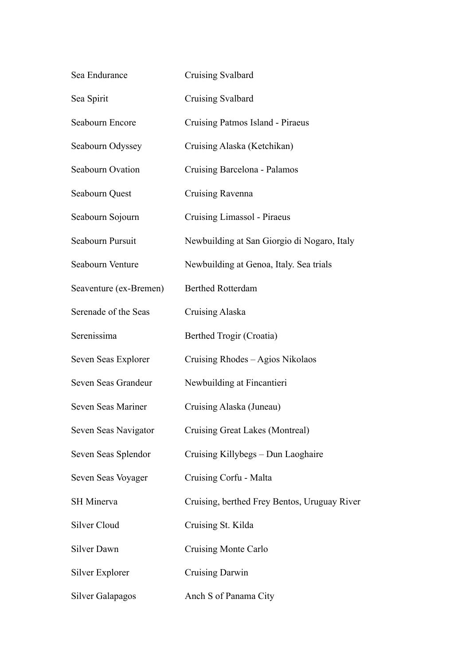| Sea Endurance           | Cruising Svalbard                            |
|-------------------------|----------------------------------------------|
| Sea Spirit              | Cruising Svalbard                            |
| Seabourn Encore         | Cruising Patmos Island - Piraeus             |
| Seabourn Odyssey        | Cruising Alaska (Ketchikan)                  |
| <b>Seabourn Ovation</b> | Cruising Barcelona - Palamos                 |
| Seabourn Quest          | Cruising Ravenna                             |
| Seabourn Sojourn        | Cruising Limassol - Piraeus                  |
| Seabourn Pursuit        | Newbuilding at San Giorgio di Nogaro, Italy  |
| Seabourn Venture        | Newbuilding at Genoa, Italy. Sea trials      |
| Seaventure (ex-Bremen)  | <b>Berthed Rotterdam</b>                     |
| Serenade of the Seas    | Cruising Alaska                              |
| Serenissima             | Berthed Trogir (Croatia)                     |
| Seven Seas Explorer     | Cruising Rhodes - Agios Nikolaos             |
| Seven Seas Grandeur     | Newbuilding at Fincantieri                   |
| Seven Seas Mariner      | Cruising Alaska (Juneau)                     |
| Seven Seas Navigator    | Cruising Great Lakes (Montreal)              |
| Seven Seas Splendor     | Cruising Killybegs - Dun Laoghaire           |
| Seven Seas Voyager      | Cruising Corfu - Malta                       |
| <b>SH</b> Minerva       | Cruising, berthed Frey Bentos, Uruguay River |
| Silver Cloud            | Cruising St. Kilda                           |
| Silver Dawn             | Cruising Monte Carlo                         |
| Silver Explorer         | Cruising Darwin                              |
| <b>Silver Galapagos</b> | Anch S of Panama City                        |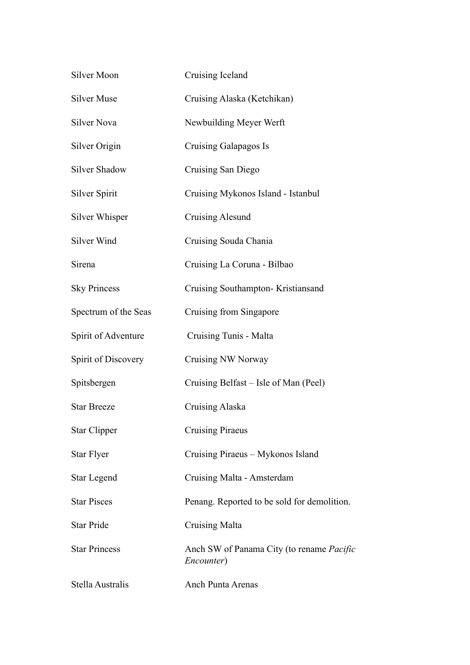| <b>Silver Moon</b>   | Cruising Iceland                                               |
|----------------------|----------------------------------------------------------------|
| <b>Silver Muse</b>   | Cruising Alaska (Ketchikan)                                    |
| <b>Silver Nova</b>   | Newbuilding Meyer Werft                                        |
| Silver Origin        | Cruising Galapagos Is                                          |
| <b>Silver Shadow</b> | Cruising San Diego                                             |
| <b>Silver Spirit</b> | Cruising Mykonos Island - Istanbul                             |
| Silver Whisper       | <b>Cruising Alesund</b>                                        |
| Silver Wind          | Cruising Souda Chania                                          |
| Sirena               | Cruising La Coruna - Bilbao                                    |
| <b>Sky Princess</b>  | Cruising Southampton-Kristiansand                              |
| Spectrum of the Seas | Cruising from Singapore                                        |
| Spirit of Adventure  | Cruising Tunis - Malta                                         |
| Spirit of Discovery  | Cruising NW Norway                                             |
| Spitsbergen          | Cruising Belfast – Isle of Man (Peel)                          |
| <b>Star Breeze</b>   | <b>Cruising Alaska</b>                                         |
| <b>Star Clipper</b>  | <b>Cruising Piraeus</b>                                        |
| <b>Star Flyer</b>    | Cruising Piraeus - Mykonos Island                              |
| <b>Star Legend</b>   | Cruising Malta - Amsterdam                                     |
| <b>Star Pisces</b>   | Penang. Reported to be sold for demolition.                    |
| <b>Star Pride</b>    | <b>Cruising Malta</b>                                          |
| <b>Star Princess</b> | Anch SW of Panama City (to rename <i>Pacific</i><br>Encounter) |
| Stella Australis     | <b>Anch Punta Arenas</b>                                       |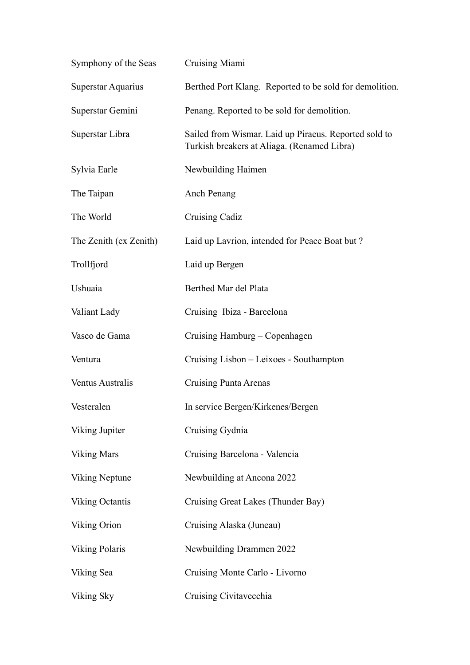| Symphony of the Seas   | Cruising Miami                                                                                       |
|------------------------|------------------------------------------------------------------------------------------------------|
| Superstar Aquarius     | Berthed Port Klang. Reported to be sold for demolition.                                              |
| Superstar Gemini       | Penang. Reported to be sold for demolition.                                                          |
| Superstar Libra        | Sailed from Wismar. Laid up Piraeus. Reported sold to<br>Turkish breakers at Aliaga. (Renamed Libra) |
| Sylvia Earle           | Newbuilding Haimen                                                                                   |
| The Taipan             | Anch Penang                                                                                          |
| The World              | <b>Cruising Cadiz</b>                                                                                |
| The Zenith (ex Zenith) | Laid up Lavrion, intended for Peace Boat but?                                                        |
| Trollfjord             | Laid up Bergen                                                                                       |
| Ushuaia                | Berthed Mar del Plata                                                                                |
| Valiant Lady           | Cruising Ibiza - Barcelona                                                                           |
| Vasco de Gama          | Cruising Hamburg - Copenhagen                                                                        |
| Ventura                | Cruising Lisbon - Leixoes - Southampton                                                              |
| Ventus Australis       | Cruising Punta Arenas                                                                                |
| Vesteralen             | In service Bergen/Kirkenes/Bergen                                                                    |
| Viking Jupiter         | Cruising Gydnia                                                                                      |
| <b>Viking Mars</b>     | Cruising Barcelona - Valencia                                                                        |
| Viking Neptune         | Newbuilding at Ancona 2022                                                                           |
| <b>Viking Octantis</b> | Cruising Great Lakes (Thunder Bay)                                                                   |
| Viking Orion           | Cruising Alaska (Juneau)                                                                             |
| <b>Viking Polaris</b>  | Newbuilding Drammen 2022                                                                             |
| Viking Sea             | Cruising Monte Carlo - Livorno                                                                       |
| Viking Sky             | Cruising Civitavecchia                                                                               |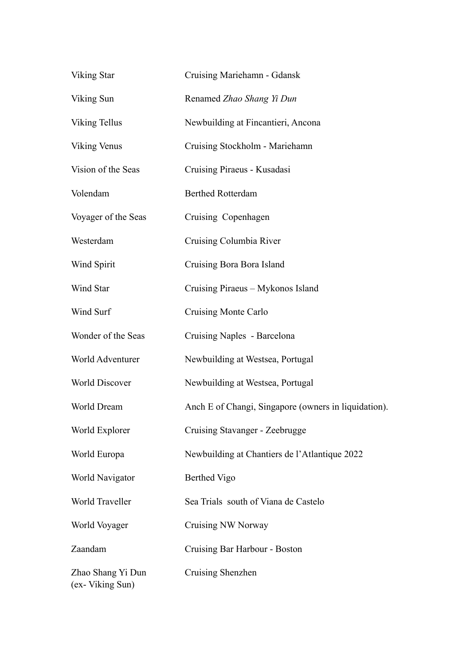| Viking Star                          | Cruising Mariehamn - Gdansk                          |
|--------------------------------------|------------------------------------------------------|
| Viking Sun                           | Renamed Zhao Shang Yi Dun                            |
| <b>Viking Tellus</b>                 | Newbuilding at Fincantieri, Ancona                   |
| <b>Viking Venus</b>                  | Cruising Stockholm - Mariehamn                       |
| Vision of the Seas                   | Cruising Piraeus - Kusadasi                          |
| Volendam                             | <b>Berthed Rotterdam</b>                             |
| Voyager of the Seas                  | Cruising Copenhagen                                  |
| Westerdam                            | Cruising Columbia River                              |
| Wind Spirit                          | Cruising Bora Bora Island                            |
| Wind Star                            | Cruising Piraeus - Mykonos Island                    |
| Wind Surf                            | Cruising Monte Carlo                                 |
| Wonder of the Seas                   | Cruising Naples - Barcelona                          |
| World Adventurer                     | Newbuilding at Westsea, Portugal                     |
| <b>World Discover</b>                | Newbuilding at Westsea, Portugal                     |
| World Dream                          | Anch E of Changi, Singapore (owners in liquidation). |
| World Explorer                       | Cruising Stavanger - Zeebrugge                       |
| World Europa                         | Newbuilding at Chantiers de l'Atlantique 2022        |
| World Navigator                      | Berthed Vigo                                         |
| World Traveller                      | Sea Trials south of Viana de Castelo                 |
| World Voyager                        | <b>Cruising NW Norway</b>                            |
| Zaandam                              | Cruising Bar Harbour - Boston                        |
| Zhao Shang Yi Dun<br>(ex-Viking Sun) | Cruising Shenzhen                                    |